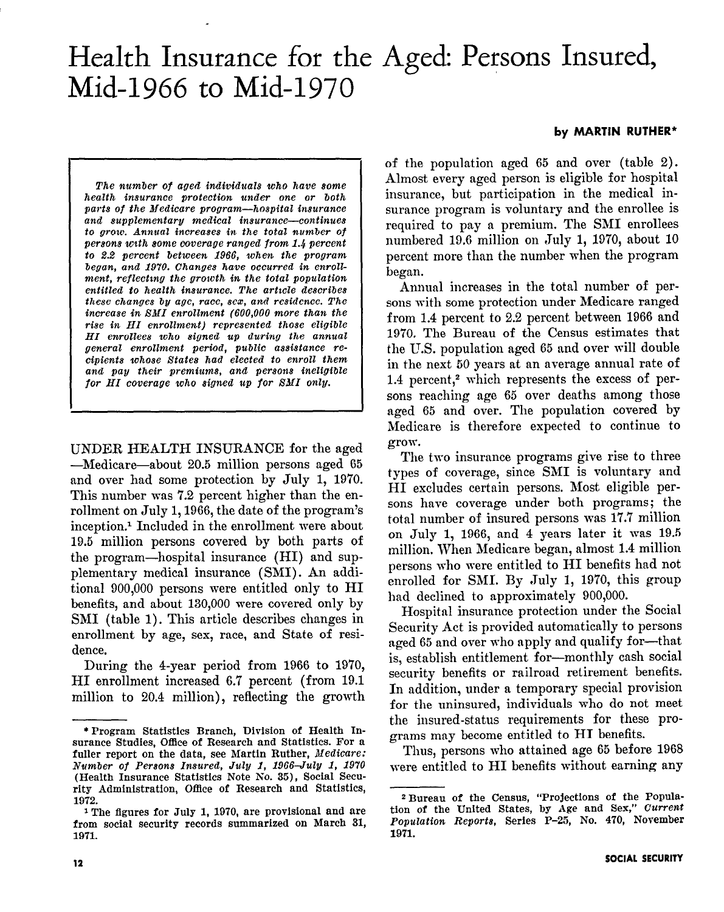# Health Insurance for the Aged: Persons Insured, Mid-1966 to Mid-1970

#### by MARTIN RUTHER\*

The number of aged individuals who have some health insurance protection under one or both parts of the Medicare program-hospital insurance and supplementary medical insurance-continues to grow. Annual increases in the total number of persons with some coverage ranged from 1.4 percent to 2.2 percent between 1966, when the program began, and 1970. Changes have occurred in enrollment, reflecting the growth in the total population entitled to health insurance. The article describes these changes by age, race, sex, and residence. The increase in EMI enrollment (600,000 more than the rise in HI enrollment) represented those eligible HI enrollees who signed up during the annual general enrollment period, public assistance recipients whose States had elected to enroll them and pay their premiums, and persons ineligible for HI coverage who signed up for SMI only.

UNDER HEALTH INSURANCE for the aged -Medicare-about 20.5 million persons aged 65 and over had some protection by July 1, 1970. This number was 7.2 percent higher than the enrollment on July 1,1966, the date of the program's inception.<sup>1</sup> Included in the enrollment were about 19.5 million persons covered by both parts of the program-hospital insurance (HI) and supplementary medical insurance (SMI). An additional 900,000 persons were entitled only to HI benefits, and about 130,000 were covered only by SKI (table 1). This article describes changes in enrollment by age, sex, race, and State of residence.

During the 4-year period from 1966 to 1970, HI enrollment increased 6.7 percent (from 19.1 million to 20.4 million), reflecting the growth of the population aged 65 and over (table 2). Almost every aged person is eligible for hospital insurance, but participation in the medical insurance program is voluntary and the enrollee is required to pay a premium. The SMI enrollees numbered 19.6 million on July 1, 1970, about 10 percent more than the number when the program began.

Annual increases in the total number of persons with some protection under Medicare ranged from 1.4 percent to 2.2 percent between 1966 and 1970. The Bureau of the Census estimates that the U.S. population aged 65 and over will double in the next 50 years at an average annual rate of 1.4 percent,<sup>2</sup> which represents the excess of persons reaching age 65 over deaths among those aged 65 and over. The population covered by Medicare is therefore expected to continue to grow.

The two insurance programs give rise to three types of coverage, since SMI is voluntary and HI excludes certain persons. Most eligible persons have coverage under both programs; the total number of insured persons was 17.7 million on July 1, 1966, and 4 years later it was 19.5 million. When Medicare began, almost 1.4 million persons who were entitled to HI benefits had not enrolled for SMI. By July 1, 1970, this group had declined to approximately 900,000.

Hospital insurance protection under the Social Security Act is provided automatically to persons aged 65 and over who apply and qualify for-that is, establish entitlement for-monthly cash social security benefits or railroad retirement benefits. In addition, under a temporary special provision for the uninsured, individuals who do not meet t.he insured-status requirements for these programs may become entitled to HI benefits.

Thus, persons who attained age 65 before 1968 were entitled to HI benefits without earning any

<sup>\*</sup>Program Statistics Branch, Division of Health Insurance Studies, Office of Research and Statistics. For a fuller report on the data, see Martin Ruther, Medicare: Number of Persons Insured, July 1, 1966-July 1, 1970 (Health Insurance Statistics Note No. 35)) Social Security Administration, Office of Research and Statistics, 1972.

<sup>1</sup> The flgures for July 1, 1970, are provisional and are from social security records summarized on March 31, 1971.

<sup>\*</sup>Bureau of the Census, "Projections of the Population of the United States, by Age and Sex, Current Population Reports, Series P-25, No. 470, November 1971.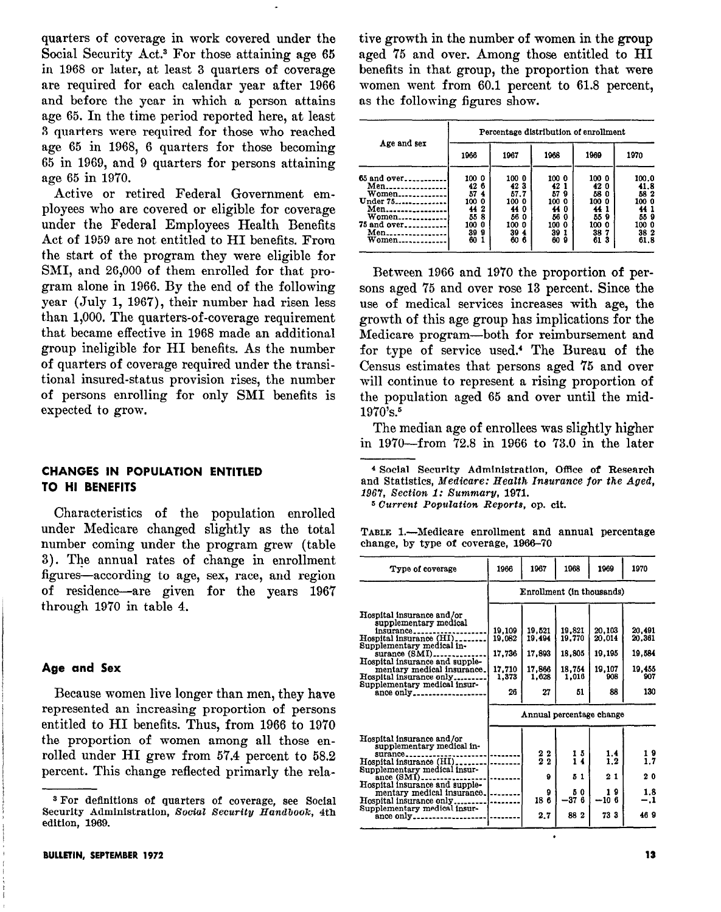quarters of coverage in work covered under the Social Security Act.<sup>3</sup> For those attaining age 65 in 1968 or later, at least 3 quarters of coverage are required for each calendar year after 1966 and before the year in which a person attains age 65. In the time period reported here, at least 3 quarters were required for those who reached age 65 in 1968, 6 quarters for those becoming 65 in 1969, and 9 quarters for persons attaining age 65 in 1970.

Active or retired Federal Government employees who are covered or eligible for coverage under the Federal Employees Health Benefits Act of 1959 are not entitled to HI benefits. From the start of the program they were eligible for SMI, and 26,000 of them enrolled for that program alone in 1966. By the end of the following year  $(\text{July } 1, 1967)$ , their number had risen less than 1,000. The quarters-of -coverage requirement that became effective in 1968 made an additions1 group ineligible for HI benefits. As the number of quarters of coverage required under the transitional insured-status provision rises, the number of persons enrolling for only SMI benefits is expected to grow.

# CHANGES IN POPULATION ENTITLED TO HI BENEFITS

Characteristics of the population enrolled under Medicare changed slightly as the total number coming under the program grew (table 3). The annual rates of change in enrollment figures-according to age, sex, race, and region of residence-are given for the years 1967 through 1970 in table 4.

#### Age and Sex

Because women live longer than men, they have represented an increasing proportion of persons entitled to HI benefits. Thus, from 1966 to 1970 the proportion of women among all those enrolled under HI grew from 57.4 percent to 58.2 percent. This change reflected primarly the relative growth in the number of women in the group aged 75 and over. Among those entitled to HI benefits in that group, the proportion that were women went from 60.1 percent to 61.8 percent, as the following figures show.

|                                                                                             | Percentage distribution of enrollment                                                       |                                                                              |                                                                                   |                                                                    |                                                                     |  |  |  |  |
|---------------------------------------------------------------------------------------------|---------------------------------------------------------------------------------------------|------------------------------------------------------------------------------|-----------------------------------------------------------------------------------|--------------------------------------------------------------------|---------------------------------------------------------------------|--|--|--|--|
| Age and sex                                                                                 | 1966                                                                                        | 1967                                                                         | 1968                                                                              | 1969                                                               | 1970                                                                |  |  |  |  |
| $65$ and over<br>Men<br>Women<br>Under 75<br>Men<br>Women<br>75 and over<br>Men<br>$W$ omen | 100 0<br>42<br>6<br>57<br>-4<br>100<br>0<br>2<br>44<br>55<br>8<br>100<br>0<br>39<br>Я<br>60 | 100 0<br>423<br>57.7<br>100 0<br>44<br>Ð<br>56 0<br>100 0<br>39<br>4<br>60 6 | 100 0<br>42 1<br>57<br>9<br>100<br>0<br>44 0<br>56<br>o<br>100 0<br>39<br>60<br>9 | 100 0<br>42 0<br>580<br>100 0<br>44<br>559<br>100 0<br>387<br>61 3 | 100.0<br>41.8<br>58 2<br>100 0<br>44<br>559<br>100 O<br>382<br>61.8 |  |  |  |  |

Between 1966 and 1970 the proportion of persons aged 75 and over rose 13 percent. Since the use of medical services increases with age, the growth of this age group has implications for the Medicare program-both for reimbursement and for type of service used.<sup>4</sup> The Bureau of the Census estimates that persons aged '75 and over will continue to represent a rising proportion of the population aged 65 and over until the mid- $1970's.^5$ 

The median age of enrollees was slightly higher in 1970-from 72.8 in 1966 to 73.0 in the later

<sup>4</sup> Social Security Administration, Office of Research and Statistics, Medicare: Health Ineurance for the Aged, 1967, Section 1: Summary, 1971.

6 Current Population Reports, op. cit.

TABLE l.-Medicare enrollment and annual percentage change, by type of coverage, 1966-70

| Type of coverage                                                                                                                                                                                                                                                                       | 1966                                                | 1967                                                                  | 1968                                                | 1969                                              | 1970                                                                       |  |  |  |
|----------------------------------------------------------------------------------------------------------------------------------------------------------------------------------------------------------------------------------------------------------------------------------------|-----------------------------------------------------|-----------------------------------------------------------------------|-----------------------------------------------------|---------------------------------------------------|----------------------------------------------------------------------------|--|--|--|
|                                                                                                                                                                                                                                                                                        | Enrollment (in thousands)                           |                                                                       |                                                     |                                                   |                                                                            |  |  |  |
| Hospital insurance and/or<br>supplementary medical<br>insurance.<br>Hospital insurance (HI)<br>Supplementary medical in-<br>surance (SMI).<br>Hospital insurance and supple-<br>mentary medical insurance.<br>Hospital insurance only.<br>Supplementary medical insur-<br>ance only.   | 19.109<br>19.082<br>17,736<br>17,710<br>1.373<br>26 | 19.521<br>19.494<br>17.893<br>17.866<br>1,628<br>27                   | 19,821<br>19.770<br>18,805<br>18,754<br>1.016<br>51 | 20.103<br>20.014<br>19,195<br>19,107<br>908<br>88 | 20.491<br>20.361<br>19,584<br>19.455<br>907<br>130                         |  |  |  |
|                                                                                                                                                                                                                                                                                        | Annual percentage change                            |                                                                       |                                                     |                                                   |                                                                            |  |  |  |
| Hospital insurance and/or<br>supplementary medical in-<br>surance<br>Hospital insurance (HI).<br>Supplementary medical insur-<br>ance (SMI).<br>Hospital insurance and supple-<br>mentary medical insurance.<br>Hospital insurance only.<br>Supplementary medical insur-<br>ance only. |                                                     | $\begin{smallmatrix}2&2\2&2\end{smallmatrix}$<br>٥<br>9<br>186<br>2.7 | 15<br>ī4<br>51<br>0<br>5<br>-37 6<br>88 2           | 1.4<br>1.2<br>21<br>19<br>$-106$<br>733           | $\begin{array}{c} 1 & 9 \\ 1 & 7 \end{array}$<br>20<br>1.8<br>$-.1$<br>469 |  |  |  |

<sup>3</sup> For definitions of quarters of coverage, see Social Security Administration, Social Security Handbook, 4th edition, 1969.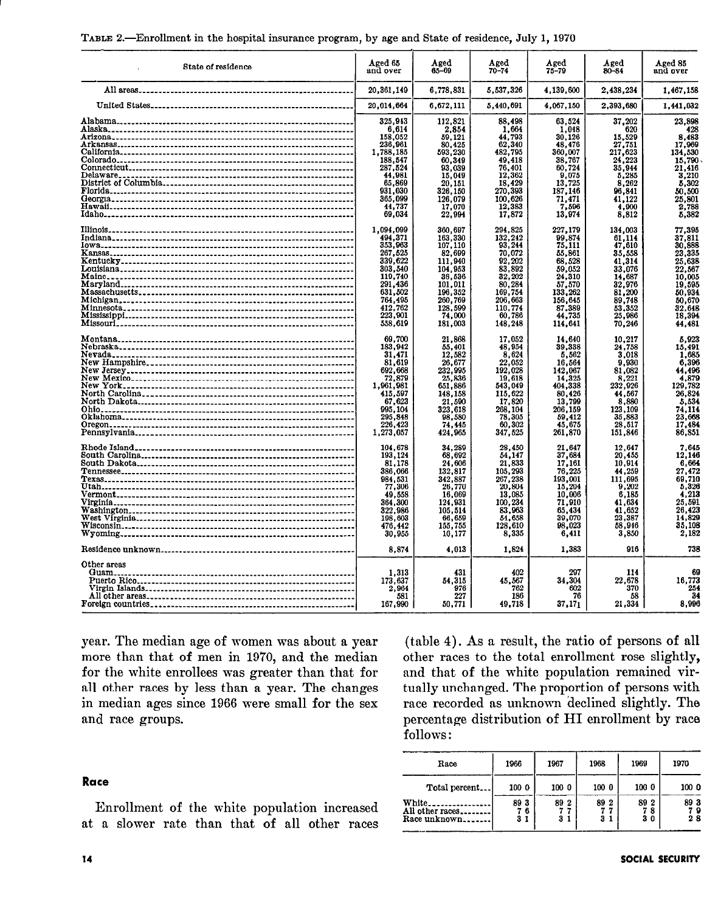| State of residence | Aged 65<br>and over                                                                                                                                   | Aged<br>65-69                                                                                                                                 | Aged<br>$70 - 74$                                                                                                                            | Aged<br>$75 - 79$                                                                                                                           | Aged<br>80-84                                                                                                                           | Aged 85<br>and over                                                                                                                 |
|--------------------|-------------------------------------------------------------------------------------------------------------------------------------------------------|-----------------------------------------------------------------------------------------------------------------------------------------------|----------------------------------------------------------------------------------------------------------------------------------------------|---------------------------------------------------------------------------------------------------------------------------------------------|-----------------------------------------------------------------------------------------------------------------------------------------|-------------------------------------------------------------------------------------------------------------------------------------|
|                    | 20.361.149                                                                                                                                            | 6.778.831                                                                                                                                     | 5.537.326                                                                                                                                    | 4.139.600                                                                                                                                   | 2.438.234                                                                                                                               | 1,467,158                                                                                                                           |
|                    | 20,014,664                                                                                                                                            | 6,672,111                                                                                                                                     | 5,440,691                                                                                                                                    | 4,067,150                                                                                                                                   | 2,393,680                                                                                                                               | 1,441,032                                                                                                                           |
|                    | 325.943                                                                                                                                               | 112,821                                                                                                                                       | 88.498                                                                                                                                       | 63,524                                                                                                                                      | 37,202                                                                                                                                  | 23,898                                                                                                                              |
|                    | 6,614                                                                                                                                                 | 2,854                                                                                                                                         | 1,664                                                                                                                                        | 1,048                                                                                                                                       | 620                                                                                                                                     | 428                                                                                                                                 |
|                    | 158,052                                                                                                                                               | 59,121                                                                                                                                        | 44.793                                                                                                                                       | 30.126                                                                                                                                      | 15.529                                                                                                                                  | 8,483                                                                                                                               |
|                    | 236,961                                                                                                                                               | 80,425                                                                                                                                        | 62,340                                                                                                                                       | 48,476                                                                                                                                      | 27,751                                                                                                                                  | 17,969                                                                                                                              |
|                    | 1,788,185                                                                                                                                             | 593,230                                                                                                                                       | 482,795                                                                                                                                      | 360,007                                                                                                                                     | 217,623                                                                                                                                 | 134,530                                                                                                                             |
|                    | 188,547                                                                                                                                               | 60,349                                                                                                                                        | 49,418                                                                                                                                       | 38,767                                                                                                                                      | 24,223                                                                                                                                  | 15,790                                                                                                                              |
|                    | 287,524                                                                                                                                               | 93,039                                                                                                                                        | 76,401                                                                                                                                       | 60,724                                                                                                                                      | 35,944                                                                                                                                  | 21,416                                                                                                                              |
|                    | 44.981                                                                                                                                                | 15.049                                                                                                                                        | 12,362                                                                                                                                       | 9,075                                                                                                                                       | 5,285                                                                                                                                   | 3,210                                                                                                                               |
|                    | 65,869                                                                                                                                                | 20,151                                                                                                                                        | 18,429                                                                                                                                       | 13,725                                                                                                                                      | 8,262                                                                                                                                   | 5,302                                                                                                                               |
|                    | 931,030                                                                                                                                               | 326,150                                                                                                                                       | 270,393                                                                                                                                      | 187,146                                                                                                                                     | 96,841                                                                                                                                  | 50,500                                                                                                                              |
|                    | 365.099                                                                                                                                               | 126,079                                                                                                                                       | 100.626                                                                                                                                      | 71,471                                                                                                                                      | 41,122                                                                                                                                  | 25,801                                                                                                                              |
|                    | 44,737                                                                                                                                                | 17,070                                                                                                                                        | 12,383                                                                                                                                       | 7,596                                                                                                                                       | 4,900                                                                                                                                   | 2,788                                                                                                                               |
|                    | 69.034                                                                                                                                                | 22.994                                                                                                                                        | 17,872                                                                                                                                       | 13,974                                                                                                                                      | 8,812                                                                                                                                   | 5,382                                                                                                                               |
|                    | 1.094.099                                                                                                                                             | 360.697                                                                                                                                       | 294,825                                                                                                                                      | 227,179                                                                                                                                     | 134.003                                                                                                                                 | 77,395                                                                                                                              |
|                    | 494.371                                                                                                                                               | 163,330                                                                                                                                       | 132.242                                                                                                                                      | 99,874                                                                                                                                      | 61,114                                                                                                                                  | 37,811                                                                                                                              |
|                    | 353.963                                                                                                                                               | 107.110                                                                                                                                       | 93.244                                                                                                                                       | 75.111                                                                                                                                      | 47,610                                                                                                                                  | 30,888                                                                                                                              |
|                    | 267,525                                                                                                                                               | 82,699                                                                                                                                        | 70,072                                                                                                                                       | 55,861                                                                                                                                      | 35,558                                                                                                                                  | 23,335                                                                                                                              |
|                    | 339,622                                                                                                                                               | 111,940                                                                                                                                       | 92,202                                                                                                                                       | 68,528                                                                                                                                      | 41,314                                                                                                                                  | 25,638                                                                                                                              |
|                    | 303.540                                                                                                                                               | 104,953                                                                                                                                       | 83,892                                                                                                                                       | 59,052                                                                                                                                      | 33.076                                                                                                                                  | 22,567                                                                                                                              |
|                    | 119,740                                                                                                                                               | 38,536                                                                                                                                        | 32,202                                                                                                                                       | 24,310                                                                                                                                      | 14,687                                                                                                                                  | 10,005                                                                                                                              |
|                    | 291.436                                                                                                                                               | 101.011                                                                                                                                       | 80,284                                                                                                                                       | 57,570                                                                                                                                      | 32.976                                                                                                                                  |                                                                                                                                     |
|                    | 631.502                                                                                                                                               | 196,352                                                                                                                                       | 169,754                                                                                                                                      | 133,262                                                                                                                                     | 81,200                                                                                                                                  | 19,595<br>50,934<br>50,670                                                                                                          |
|                    | 764,495                                                                                                                                               | 260,769                                                                                                                                       | 206.663                                                                                                                                      | 156,645                                                                                                                                     | 89.748                                                                                                                                  |                                                                                                                                     |
|                    | 412,762                                                                                                                                               | 128,599                                                                                                                                       |                                                                                                                                              |                                                                                                                                             | 53,352                                                                                                                                  | 32.648                                                                                                                              |
|                    | 223,901                                                                                                                                               | 74,000                                                                                                                                        | 110,774<br>60,786                                                                                                                            | 87,389<br>44,735                                                                                                                            | 25,986                                                                                                                                  | 18,394                                                                                                                              |
|                    | 558,619                                                                                                                                               | 181,003                                                                                                                                       | 148,248                                                                                                                                      | 114,641                                                                                                                                     | 70,246                                                                                                                                  | 44.481                                                                                                                              |
|                    | 69,700<br>183,942<br>31,471<br>81,619<br>692,668<br>72,879<br>1,961,981<br>415,597<br>67,623<br>995.104<br>295,848<br>226,423<br>1,273,057<br>104.678 | 21,868<br>55,401<br>12,582<br>26,677<br>232,995<br>25,836<br>651,886<br>148.158<br>21,590<br>323,618<br>98,580<br>74.445<br>424,965<br>34,289 | 17.052<br>48,954<br>8,624<br>22,052<br>192,028<br>19,618<br>543,049<br>115,622<br>17,820<br>268,104<br>78,305<br>60,302<br>347,525<br>28,450 | 14,640<br>39,338<br>5,562<br>16,564<br>142,067<br>14,325<br>404,338<br>80,426<br>13,799<br>206,159<br>59,412<br>45,675<br>261,870<br>21,647 | 10.217<br>24,758<br>3.018<br>9,930<br>81,082<br>8.221<br>232,926<br>44,567<br>8,880<br>123,109<br>35,883<br>28,517<br>151,846<br>12,647 | 5.923<br>15,491<br>1,685<br>6,396<br>44,496<br>4,879<br>129,782<br>26.824<br>5,534<br>74,114<br>23,668<br>17,484<br>86,851<br>7,645 |
|                    | 193,124                                                                                                                                               | 68,692                                                                                                                                        | 54,147                                                                                                                                       | 37,684                                                                                                                                      | 20,455                                                                                                                                  | 12,146                                                                                                                              |
|                    | 81.178                                                                                                                                                | 24,606                                                                                                                                        | 21,833                                                                                                                                       | 17,161                                                                                                                                      | 10,914                                                                                                                                  | 6,664                                                                                                                               |
|                    | 386.066                                                                                                                                               | 132.817                                                                                                                                       | 105,293                                                                                                                                      | 76.225                                                                                                                                      | 44.259                                                                                                                                  | 27.472                                                                                                                              |
|                    | 984.531                                                                                                                                               | 342,887                                                                                                                                       | 267,238                                                                                                                                      | 193,001                                                                                                                                     | 111,695                                                                                                                                 | 69,710                                                                                                                              |
|                    | 77,306                                                                                                                                                | 26,770                                                                                                                                        | 20,804                                                                                                                                       | 15,204                                                                                                                                      | 9,202                                                                                                                                   | 5,326                                                                                                                               |
|                    | 49,558                                                                                                                                                | 16,069                                                                                                                                        | 13,085                                                                                                                                       | 10,006                                                                                                                                      | 6,185                                                                                                                                   | 4,213                                                                                                                               |
|                    | 364.300                                                                                                                                               | 124,931                                                                                                                                       | 100,234                                                                                                                                      | 71.910                                                                                                                                      | 41.634                                                                                                                                  | 25,591                                                                                                                              |
|                    | 322,986                                                                                                                                               | 105,514                                                                                                                                       | 83,963                                                                                                                                       | 65,434                                                                                                                                      | 41.652                                                                                                                                  | 26,423                                                                                                                              |
|                    | 198.603                                                                                                                                               | 66,659                                                                                                                                        | 54,658                                                                                                                                       | 39,070                                                                                                                                      | 23,387                                                                                                                                  | 14,829                                                                                                                              |
|                    | 476.442                                                                                                                                               | 155,755                                                                                                                                       | 128.610                                                                                                                                      | 98.023                                                                                                                                      | 58,946                                                                                                                                  | 35,108                                                                                                                              |
|                    | 30,955                                                                                                                                                | 10,177                                                                                                                                        | 8,335                                                                                                                                        | 6,411                                                                                                                                       | 3,850                                                                                                                                   | 2,182                                                                                                                               |
|                    | 8.874                                                                                                                                                 | 4,013                                                                                                                                         | 1,824                                                                                                                                        | 1.383                                                                                                                                       | 916                                                                                                                                     | 738                                                                                                                                 |
| Other areas        |                                                                                                                                                       |                                                                                                                                               |                                                                                                                                              |                                                                                                                                             |                                                                                                                                         |                                                                                                                                     |
| Guam               | 1,313                                                                                                                                                 | 431                                                                                                                                           | 402                                                                                                                                          | 297                                                                                                                                         | 114                                                                                                                                     | 69                                                                                                                                  |
|                    | 173.637                                                                                                                                               | 54,315                                                                                                                                        | 45,567                                                                                                                                       | 34,304                                                                                                                                      | 22,678                                                                                                                                  | 16,773                                                                                                                              |
|                    | 2.964                                                                                                                                                 | 976                                                                                                                                           | 762                                                                                                                                          | 602                                                                                                                                         | 370                                                                                                                                     | 254                                                                                                                                 |
|                    | 581                                                                                                                                                   | 227                                                                                                                                           | 186                                                                                                                                          | 76                                                                                                                                          | 58                                                                                                                                      | 34                                                                                                                                  |
|                    | 167,990                                                                                                                                               | 50,771                                                                                                                                        | 49,718                                                                                                                                       | 37,171                                                                                                                                      | 21,334                                                                                                                                  | 8,996                                                                                                                               |

year. The median age of women was about a year more than that of men in 1970, and the median for the white enrollees was greater than that for all other races by less than a year. The changes in median ages since 1966 were small for the sex and race groups.

(table 4). As a result, the ratio of persons of all other races to the total enrollment rose slightly, and that of the white population remained virtually unchanged. The proportion of persons with race recorded as unknown declined slightly. The percentage distribution of HI enrollment by race follows:

#### 1966 1967 1968 1969 1970 Race Total percent. 100 0 100 0  $100<sub>0</sub>$ 100 0 100 0  $\begin{array}{r} 893 \ 761 \ 31 \end{array}$  $\begin{array}{c}\n 89 \overline{)2} \\
7 \overline{)7} \\
3 \overline{)1}\n \end{array}$  $\begin{array}{c}\n 89 \quad 2 \\
7 \quad 7 \\
3 \quad 1\n \end{array}$  $\begin{array}{r} 89.2 \\ 7.8 \\ 3.0 \end{array}$ 89 3 White.............. All other races.......  $\begin{array}{c} 79 \\ 28 \end{array}$ Race unknown......

# Race

Enrollment of the white population increased at a slower rate than that of all other races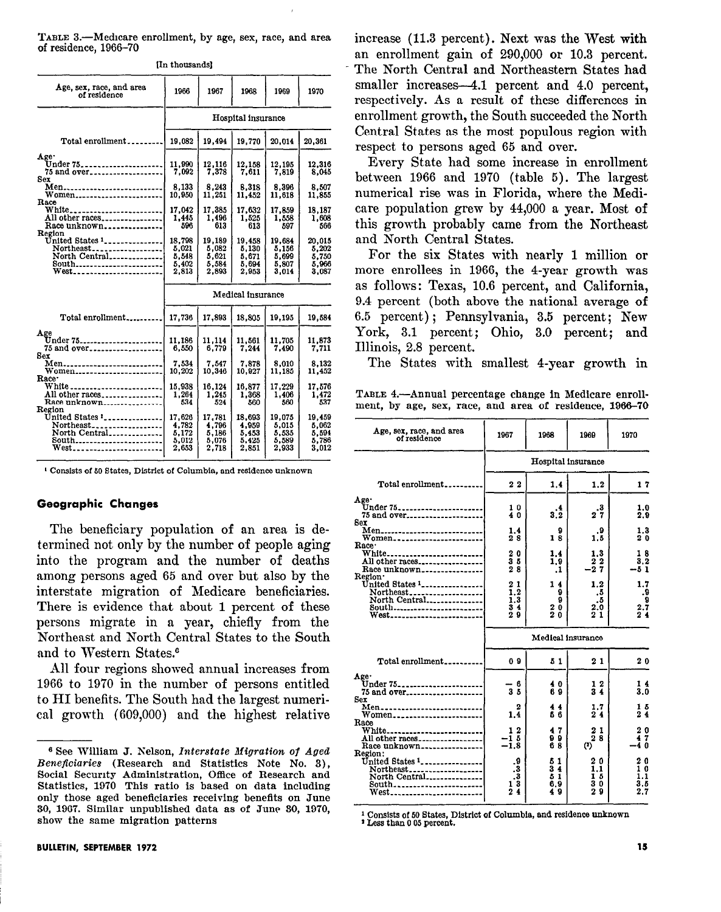TABLE 3.-Medicare enrollment, by age, sex, race, and area of residence, 1966-70

|  | In thousands |  |
|--|--------------|--|
|--|--------------|--|

| Age, sex, race, and area<br>of residence                                                                                                                                                                                          | 1966                                       | 1967                                       | 1968                                       | 1969                                       | 1970                                       |  |  |
|-----------------------------------------------------------------------------------------------------------------------------------------------------------------------------------------------------------------------------------|--------------------------------------------|--------------------------------------------|--------------------------------------------|--------------------------------------------|--------------------------------------------|--|--|
|                                                                                                                                                                                                                                   |                                            |                                            | Hospital insurance                         |                                            |                                            |  |  |
| Total enrollment                                                                                                                                                                                                                  | 19,082                                     | 19,494                                     | 19.770                                     | 20.014                                     | 20,361                                     |  |  |
| Age.<br>Under 75<br>75 and over___________________<br>Sex<br>Men<br>Women<br>Race<br>White________________________<br>All other races<br>Race unknown<br>Region<br>United States 1<br>Northeast<br>North Central<br>South<br>West | 11,990<br>7.092                            | 12.116<br>7.378                            | 12.158<br>7.611                            | 12,195<br>7.819                            | 12,316<br>8,045                            |  |  |
|                                                                                                                                                                                                                                   | 8,133<br>10,950                            | 8,243<br>11,251                            | 8,318<br>11,452                            | 8,396<br>11,618                            | 8.507<br>11.855                            |  |  |
|                                                                                                                                                                                                                                   | 17,042<br>1.445<br>596                     | 17,385<br>1.496<br>613                     | 17,632<br>1,525<br>613                     | 17.859<br>1,558<br>597                     | 18,187<br>1.608<br>566                     |  |  |
|                                                                                                                                                                                                                                   | 18,798<br>5,021<br>5.548<br>5.402<br>2,813 | 19,189<br>5.082<br>5,621<br>5,584<br>2,893 | 19.458<br>5,130<br>5.671<br>5.694<br>2.953 | 19.684<br>5,156<br>5,699<br>5,807<br>3,014 | 20,015<br>5,202<br>5,750<br>5.966<br>3,087 |  |  |
|                                                                                                                                                                                                                                   |                                            |                                            | Medical insurance                          |                                            |                                            |  |  |
| Total enrollment                                                                                                                                                                                                                  | 17.736                                     | 17.893                                     | 18.805                                     | 19.195                                     | 19,584                                     |  |  |
| Age<br>Under 75 <sub>-----------------------</sub><br>75 and over<br>Sex                                                                                                                                                          | 11.186<br>6,550                            | 11.114<br>6.779                            | 11.561<br>7.244                            | 11.705<br>7.490                            | 11.873<br>7.711                            |  |  |
| Men<br>Women<br>Race <sup>-</sup>                                                                                                                                                                                                 | 7.534<br>10.202                            | 7.547<br>10,346                            | 7.878<br>10.927                            | 8.010<br>11,185                            | 8.132<br>11.452                            |  |  |
| White _________________________<br>All other races<br>Race unknown<br>Region<br>United States '<br>Northeast<br>North Central<br>South<br>West_______________________                                                             | 15,938<br>1.264<br>534                     | 16.124<br>1.245<br>524                     | 16.877<br>1,368<br>560                     | 17,229<br>1,406<br>560                     | 17.576<br>1,472<br>537                     |  |  |
|                                                                                                                                                                                                                                   | 17,626<br>4,782<br>5.172<br>5,012<br>2.653 | 17,781<br>4,796<br>5.186<br>5.076<br>2,718 | 18,693<br>4,959<br>5.453<br>5.425<br>2,851 | 19,075<br>5,015<br>5.535<br>5,589<br>2,933 | 19,459<br>5.062<br>5.594<br>5,786<br>3.012 |  |  |

<sup>1</sup> Consists of 50 States, District of Columbia, and residence unknown

#### Geographic Changes

The beneficiary population of an area is determined not only by the number of people aging into the program and the number of deaths among persons aged 65 and over but also by the interstate migration of Medicare beneficiaries. There is evidence that about 1 percent of these persons migrate in a year, chiefly from the Northeast and North Central States to the South and to Western States.<sup>6</sup>

All four regions showed annual increases from 1966 to 1970 in the number of persons entitled to HI benefits. The South had the largest numerical growth (609,000) and the highest relative increase (11.3 percent). Next was the West with an enrollment gain of 290,000 or 10.3 percent. The North Central and Northeastern States had smaller increases -4.1 percent and 4.0 percent, respectively. As a result of these differences in enrollment growth, the South succeeded the North Central States as the most populous region with respect to persons aged 65 and over.

Every State had some increase in enrollment between 1966 and 1970 (table 5). The largest numerical rise was in Florida, where the Medicare population grew by 44,000 a year. Most of this growth probably came from the Northeast and North Central States.

For the six States with nearly 1 million or more enrollees in 1966, the 4-year growth was as follows: Texas, 10.6 percent, and California, 9.4 percent (both above the national average of 6.5 percent); Pennsylvania, 3.5 percent; New York, 3.1 percent; Ohio, 3.0 percent; and Illinois, 2.8 percent.

The States with smallest 4-year growth in

TABLE 4.-Annual percentage change in Medicare enrollment, by age, sex, race, and area of residence, 1966-70

| Age, sex, race, and area<br>of residence                                                                                                             | 1967                                              | 1968                                 | 1969                               | 1970                                      |
|------------------------------------------------------------------------------------------------------------------------------------------------------|---------------------------------------------------|--------------------------------------|------------------------------------|-------------------------------------------|
|                                                                                                                                                      |                                                   |                                      | Hospital insurance                 |                                           |
| Total enrollment                                                                                                                                     | 2 <sub>2</sub>                                    | 1.4                                  | 1.2                                | 17                                        |
| Age <sup>-</sup><br>75 and over<br>Sex                                                                                                               | 10<br>40                                          | .4<br>$3.\bar{2}$                    | .3<br>27                           | 1.0<br>2.9                                |
| Men <sub>----------------------------</sub><br>Women<br>Race.                                                                                        | 1.4<br>28                                         | 9<br>18                              | .9<br>1.5                          | 1.3<br>20                                 |
| White<br>All other races<br>Race unknown                                                                                                             | 20<br>35<br>28                                    | 1.4<br>1.9<br>$\cdot$                | 1.3<br>$\frac{2}{2}$ $\frac{2}{7}$ | 18<br>$3.\overline{2}$<br>$-51$           |
| Region·<br>United States $1$<br>Northeast<br>North Central<br>South<br>West                                                                          | 21<br>1.2<br>1.3<br>3 <sub>4</sub><br>29          | 14<br>9<br>9<br>20<br>20             | 1.2<br>.5<br>.5<br>2.0<br>21       | 1.7<br>9.<br>9<br>$\frac{2.7}{2.4}$       |
|                                                                                                                                                      |                                                   |                                      | Medical insurance                  |                                           |
| Total enrollment                                                                                                                                     | 09                                                | 51                                   | 21                                 | 20                                        |
| Age.<br>Under 75<br>75 and over<br>Sex                                                                                                               | - 6<br>3 <sub>5</sub>                             | 40<br>69                             | 12<br>34                           | 14<br>3.0                                 |
| Men<br>Women<br>Race                                                                                                                                 | 2<br>1.4                                          | 44<br>66                             | 1.7<br>24                          | 15<br>24                                  |
| White<br>All other races<br>Race unknown                                                                                                             | 12<br>$-15$<br>$-\bar{1}.8$                       | 47<br>99<br>68                       | 21<br>28<br>$\bf{a}$               | 20<br>47<br>-40                           |
| Region:<br>United States $1$ ,<br>$North east$ <sub>--------------------</sub><br>North Central<br>South<br>West <sub>------------------------</sub> | .9<br>$\cdot$ 3<br>$_{\rm \bullet}$ 3<br>13<br>24 | 51<br>$\bar{3}$ 4<br>51<br>6,9<br>49 | 20<br>1.1<br>15<br>30<br>29        | 20<br>1 <sub>0</sub><br>1.1<br>3.5<br>2.7 |

<sup>1</sup> Consists of 50 States, District of Columbia, and residence unknown

<sup>2</sup> Less than 0 05 percent.

<sup>&</sup>lt;sup>6</sup> See William J. Nelson, Interstate Migration of Aged Beneficiaries (Research and Statistics Note No. 3). Social Security Administration, Office of Research and Statistics, 1970 This ratio is based on data including only those aged beneficiaries receiving benefits on June 30, 1967. Similar unpublished data as of June 30, 1970. show the same migration patterns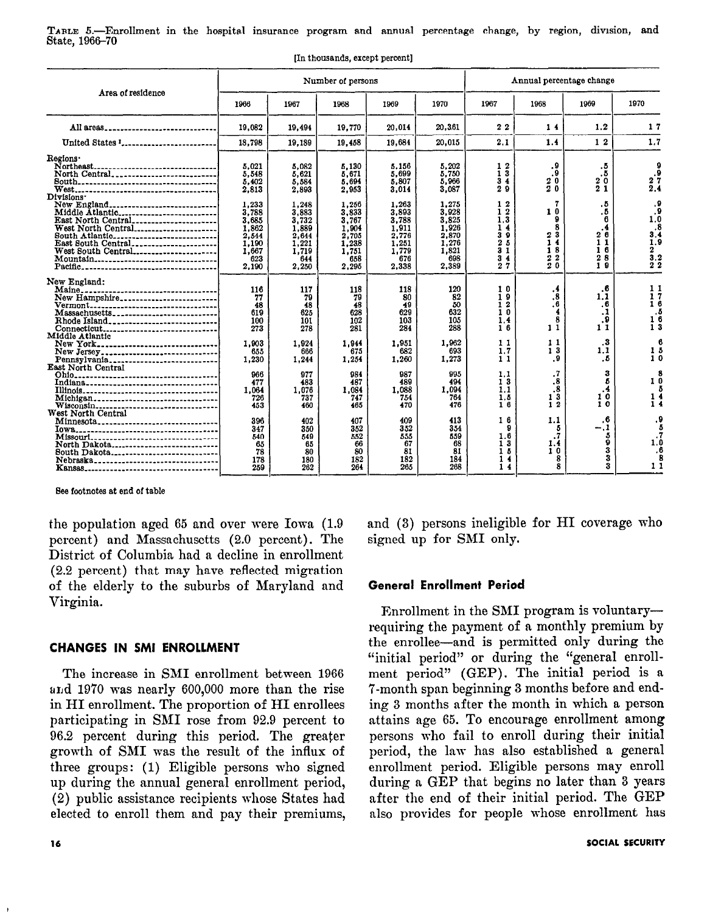TABLE 5.—Enrollment in the hospital insurance program and annual percentage change, by region, division, and State, 1966-70

|                                                                                                                                                                                                                                                                 |                                                                                                                 | Number of persons                                                                                               |                                                                                                                 |                                                                                                                 |                                                                                                                 |                                                                                                     |                                                                                   | Annual percentage change                                                                            |                                                                                                     |  |
|-----------------------------------------------------------------------------------------------------------------------------------------------------------------------------------------------------------------------------------------------------------------|-----------------------------------------------------------------------------------------------------------------|-----------------------------------------------------------------------------------------------------------------|-----------------------------------------------------------------------------------------------------------------|-----------------------------------------------------------------------------------------------------------------|-----------------------------------------------------------------------------------------------------------------|-----------------------------------------------------------------------------------------------------|-----------------------------------------------------------------------------------|-----------------------------------------------------------------------------------------------------|-----------------------------------------------------------------------------------------------------|--|
| Area of residence                                                                                                                                                                                                                                               | 1966                                                                                                            | 1967                                                                                                            | 1968                                                                                                            | 1969                                                                                                            | 1970                                                                                                            | 1967                                                                                                | 1968                                                                              | 1969                                                                                                | 1970                                                                                                |  |
| All areas                                                                                                                                                                                                                                                       | 19,082                                                                                                          | 19,494                                                                                                          | 19,770                                                                                                          | 20,014                                                                                                          | 20.3.61                                                                                                         | 22                                                                                                  | 14                                                                                | 1.2                                                                                                 | 17                                                                                                  |  |
| United States <sup>1</sup>                                                                                                                                                                                                                                      | 18,798                                                                                                          | 19,189                                                                                                          | 19,458                                                                                                          | 19,684                                                                                                          | 20,015                                                                                                          | 2.1                                                                                                 | 1.4                                                                               | 1 <sub>2</sub>                                                                                      | 1.7                                                                                                 |  |
| Regions <sup>.</sup><br>Northeast<br>North Central<br>Divisions <sup>.</sup><br>New England<br>Middle Atlantic___________________________<br>East North Central<br>West North Central<br>South Atlantic<br>East South Central<br>West South Central<br>Mountain | 5.021<br>5,548<br>5,402<br>2.813<br>1,233<br>3.788<br>3,685<br>1,862<br>2.544<br>1.190<br>1,667<br>623<br>2,190 | 5.082<br>5,621<br>5,584<br>2.893<br>1,248<br>3.883<br>3,732<br>1,889<br>2.644<br>1,221<br>1.719<br>644<br>2.250 | 5.130<br>5,671<br>5,694<br>2,953<br>1,256<br>3.833<br>3,767<br>1,904<br>2.705<br>1,238<br>1,751<br>658<br>2.295 | 5.156<br>5,699<br>5,807<br>3,014<br>1.263<br>3,893<br>3.788<br>1,911<br>2,776<br>1,251<br>1,779<br>676<br>2.338 | 5,202<br>5,750<br>5,966<br>3,087<br>1.275<br>3,928<br>3,825<br>1.926<br>2,870<br>1.276<br>1,821<br>698<br>2.389 | 12<br>ī5<br>34<br>29<br>12<br>12<br>13<br>14<br>39<br>25<br>31<br>$3\,4$<br>27                      | ٥.<br>÷9.<br>20<br>$\bar{2}0$<br>7<br>10<br>9<br>8<br>23<br>14<br>18<br>22<br>20  | $\frac{5}{5}$<br>20<br>21<br>. 5<br>. 5<br>в<br>.4<br>26<br>11<br>16<br>$\boldsymbol{2}$<br>8<br>19 | 9.<br>27<br>2.4<br>. 9<br>n<br>8<br>3.4<br>1.9<br>$\mathbf{z}$<br>$\bar{\bf 3.2}$<br>$2^{\degree}2$ |  |
| New England:<br>Maine.<br><br>New Hampshire<br>Vermont<br>Massachusetts<br>Rhode Island<br>Connecticut<br>Middle Atlantic<br>New York.<br>------------------------------<br>New Jersey<br>Pennsylvania<br>East North Central<br>Michigan                        | 116<br>77<br>48<br>619<br>100<br>273<br>1.903<br>655<br>1,230<br>966<br>477<br>1,064<br>726<br>453              | 117<br>79<br>48<br>625<br>101<br>278<br>1.924<br>666<br>1.244<br>977<br>483<br>1,076<br>737<br>460              | 118<br>79<br>48<br>628<br>102<br>281<br>1.944<br>675<br>1,254<br>984<br>487<br>1.084<br>747<br>465              | 118<br>80<br>49<br>629<br>103<br>284<br>1.951<br>682<br>1,260<br>987<br>489<br>1.088<br>754<br>470              | 120<br>82<br>50<br>632<br>105<br>288<br>1.962<br>693<br>1.273<br>995<br>494<br>1,094<br>764<br>476              | 10<br>19<br>$\overline{1}$ 2<br>10<br>1,4<br>16<br>11<br>1.7<br>11<br>1.1<br>13<br>1.1<br>1.5<br>16 | .4<br>.8<br>. 6<br>8<br>11<br>11<br>13<br>.9<br>$\cdot$ 7<br>.8<br>.8<br>13<br>12 | $\cdot$ 6<br>1.1<br>. 6<br>.1<br>-9<br>11<br>$\cdot$<br>1.1<br>. 5<br>3<br>6<br>.4<br>10<br>10      | 11<br>7<br>1<br>-6<br>1                                                                             |  |
| Minnesota<br>Missouri<br>North Dakota<br>South Dakota<br>Nebraska                                                                                                                                                                                               | 396<br>347<br>540<br>65<br>78<br>178<br>259                                                                     | 402<br>350<br>549<br>65<br>80<br>180<br>262                                                                     | 407<br>352<br>552<br>66<br>80<br>182<br>264                                                                     | 409<br>352<br>555<br>67<br>81<br>182<br>265                                                                     | 413<br>354<br>559<br>68<br>81<br>184<br>268                                                                     | 16<br>9<br>1.6<br>13<br>1 <sub>0</sub><br>1<br>4<br>14                                              | 1.1<br>5<br>$\cdot$ <sup>7</sup><br>1.4<br>10<br>8<br>8                           | . 6<br>$-.1$<br>5<br>ğ<br>3<br>3<br>3                                                               | 1.                                                                                                  |  |

[In thousands, except percent]

See footnotes at end of table

the population aged 65 and over were Iowa (1.9) percent) and Massachusetts (2.0 percent). The District of Columbia had a decline in enrollment (2.2 percent) that may have reflected migration of the elderly to the suburbs of Maryland and Virginia.

## **CHANGES IN SMI ENROLLMENT**

The increase in SMI enrollment between 1966 and 1970 was nearly 600,000 more than the rise in HI enrollment. The proportion of HI enrollees participating in SMI rose from 92.9 percent to 96.2 percent during this period. The greater growth of SMI was the result of the influx of three groups: (1) Eligible persons who signed up during the annual general enrollment period, (2) public assistance recipients whose States had elected to enroll them and pay their premiums, and (3) persons ineligible for HI coverage who signed up for SMI only.

## **General Enrollment Period**

Enrollment in the SMI program is voluntaryrequiring the payment of a monthly premium by the enrollee-and is permitted only during the "initial period" or during the "general enrollment period" (GEP). The initial period is a 7-month span beginning 3 months before and ending 3 months after the month in which a person attains age 65. To encourage enrollment among persons who fail to enroll during their initial period, the law has also established a general enrollment period. Eligible persons may enroll during a GEP that begins no later than 3 years after the end of their initial period. The GEP also provides for people whose enrollment has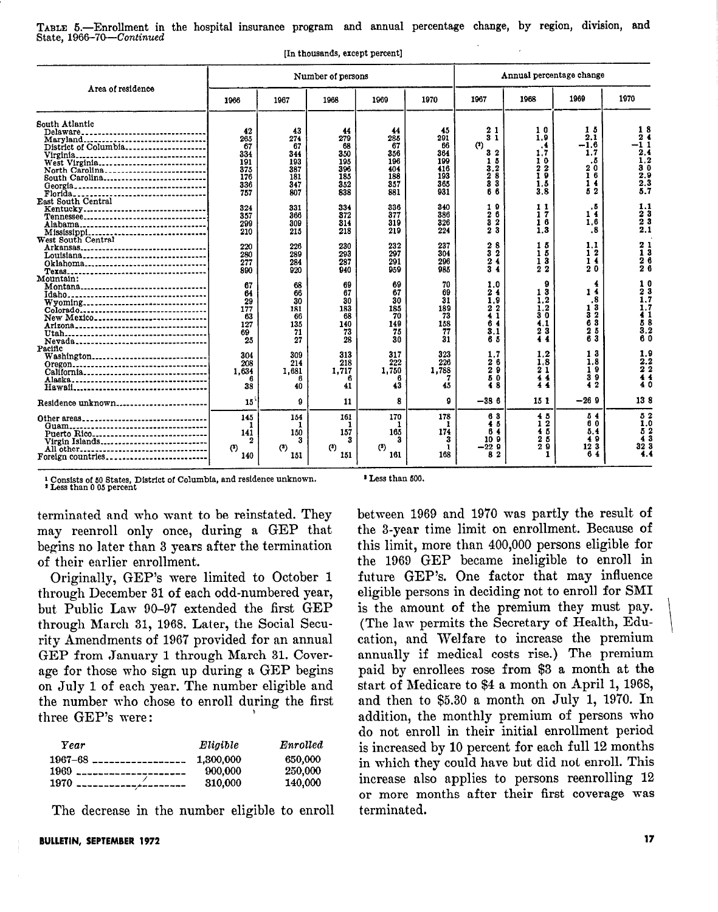TABLE 5.-Enrollment in the hospital insurance program and annual percentage change, by region, division, and State, 1966-70-Continued

[In thousands, except percent]

|                                                                                                                                                                                                                                                                 |                                                           |                                                           | Number of persons                                         |                                                           | Annual percentage change                                  |                                                                                 |                                                                                                     |                                                           |                                                                                                 |
|-----------------------------------------------------------------------------------------------------------------------------------------------------------------------------------------------------------------------------------------------------------------|-----------------------------------------------------------|-----------------------------------------------------------|-----------------------------------------------------------|-----------------------------------------------------------|-----------------------------------------------------------|---------------------------------------------------------------------------------|-----------------------------------------------------------------------------------------------------|-----------------------------------------------------------|-------------------------------------------------------------------------------------------------|
| Area of residence                                                                                                                                                                                                                                               | 1966                                                      | 1967                                                      | 1968                                                      | 1969                                                      | 1970                                                      | 1967                                                                            | 1968                                                                                                | 1969                                                      | 1970                                                                                            |
| South Atlantic<br>Delaware.<br><br>Maryland<br>District of Columbia<br>Virginia.<br><br>West Virginia<br>North Carolina<br>South Carolina<br>Georgia.<br>---------------------------------<br>Florida.<br>-------------------------------<br>East South Central | 42<br>265<br>67<br>334<br>191<br>375<br>176<br>336<br>757 | 43<br>274<br>67<br>344<br>193<br>387<br>181<br>347<br>807 | 44<br>279<br>68<br>350<br>195<br>396<br>185<br>352<br>838 | 44<br>285<br>67<br>356<br>196<br>404<br>188<br>357<br>881 | 45<br>291<br>66<br>364<br>199<br>416<br>193<br>365<br>931 | 21<br>31<br>$(3)$<br>3 <sub>2</sub><br>-5<br>1<br>3.2<br>$2\bar{8}$<br>33<br>66 | 10<br>1.9<br>.4<br>1.7<br>10<br>2<br>$\boldsymbol{\mathsf{2}}$<br>ī<br>$\overline{9}$<br>1.5<br>3.8 | 15<br>2.1<br>$-1.6$<br>1.7<br>. 5<br>20<br>16<br>14<br>52 | 18<br>24<br>$-11$<br>2.4<br>1.2<br>30<br>2.9<br>2.3<br>5.7                                      |
| Kentucky<br>Alabama                                                                                                                                                                                                                                             | 324<br>357<br>299<br>210                                  | 331<br>366<br>809<br>215                                  | 334<br>372<br>314<br>218                                  | 336<br>377<br>319<br>219                                  | 340<br>386<br>326<br>224                                  | 19<br>$\mathbf 2$<br>6<br>3<br>$\boldsymbol{2}$<br>23                           | 11<br>17<br>16<br>1.3                                                                               | . 5<br>14<br>1.6<br>.8                                    | 1.1<br>23<br>23<br>2.1                                                                          |
| West South Central<br>Arkansas<br>Louisiana<br>Oklahoma                                                                                                                                                                                                         | 220<br>280<br>277<br>890                                  | 226<br>289<br>284<br>920                                  | 230<br>293<br>287<br>940                                  | 232<br>297<br>291<br>959                                  | 237<br>304<br>296<br>985                                  | 2<br>8<br>3<br>$\overline{2}$<br>2<br>4<br>3<br>4                               | 15<br>15<br>13<br>22                                                                                | 1.1<br>12<br>14<br>20                                     | 21<br>$1\bar{3}$<br>26<br>26                                                                    |
| Mountain:<br>Montana <sub>---------------------------------</sub><br>Wyoming<br>Colorado<br>New Mexico<br>Arizona___________________________________<br>Nevada                                                                                                  | 67<br>64<br>29<br>177<br>63<br>127<br>69<br>25            | 68<br>66<br>30<br>181<br>66<br>135<br>71<br>27            | 69<br>67<br>30<br>183<br>68<br>140<br>73<br>28            | 69<br>67<br>30<br>185<br>70<br>149<br>75<br>30            | 70<br>69<br>31<br>189<br>73<br>158<br>77<br>31            | 1.0<br>2 <sub>4</sub><br>1.9<br>$\frac{2}{1}$<br>6<br>4<br>3.1<br>65            | 9<br>13<br>1.2<br>1.2<br>30<br>4.1<br>23<br>4.4                                                     | 1<br>4<br>.8<br>13<br>āž<br>63<br>25<br>63                | 10<br>$2\bar{3}$<br>1.7<br>1.7<br>41<br>58<br>$\begin{smallmatrix} 3.2 \ 6.0 \end{smallmatrix}$ |
| Pacific<br>Washington<br>California<br>Alaska                                                                                                                                                                                                                   | 304<br>208<br>1.634<br>6<br>38                            | 309<br>214<br>1,681<br>40                                 | 313<br>218<br>1.717<br>41                                 | 317<br>222<br>1,750<br>43                                 | 323<br>226<br>1,788<br>45                                 | 1,7<br>26<br>29<br>50<br>48                                                     | 1,2<br>1.8<br>21<br>4<br>4<br>44                                                                    | 13<br>1.8<br>$\mathbf{9}$<br>1<br>39<br>42                | $\frac{1.9}{2.2}$<br>$\frac{7}{4}$<br>40                                                        |
| Residence unknown                                                                                                                                                                                                                                               | 15                                                        | 9                                                         | 11                                                        | 8                                                         | Ω                                                         | $-386$                                                                          | 15 1                                                                                                | $-269$                                                    | 138                                                                                             |
| Other areas<br>Puerto Rico<br>Virgin Islands<br>All other<br>Foreign countries                                                                                                                                                                                  | 145<br>141<br>2<br>$(3)$<br>140                           | 154<br>150<br>З<br>(3)<br>151                             | 161<br>1<br>157<br>3<br>$(3)$<br>151                      | 170<br>165<br>$^{(3)}$<br>161                             | 178<br>1<br>174<br>3<br>-1<br>168                         | 63<br>45<br>ß.<br>4<br>10 9<br>$-229$<br>В<br>-2                                | 45<br>12<br>45<br>25<br>29                                                                          | 54<br>60<br>5.4<br>49<br>12 3<br>6<br>4                   | 52<br>$\overline{1}.\overline{0}$<br>$\frac{5}{4}$ $\frac{2}{3}$<br>32 3<br>$\ddot{ }$ .4       |

\* Consists of 50 States, District of Columbia, and residence unknown. f Less than 0 05 percent

\* Less than 600.

terminnted and who want to be reinstated. They may reenroll only once, during a GEP that begins no later than 3 years nfter the termination of their earlier enrollment.

Originnlly, GEP's were limited to October 1 through December 31 of each odd-numbered year, but Public Law 90-97 extended the first GEP through March 31, 1968. Later, the Social Security Amendments of 1967 provided for an annual GEP from Janunry 1 through March 31. Coverage for those who sign up during a GEP begins on July 1 of each year. The number eligible and the number who chose to enroll during the first three CED's were all the state of the state of the first three three GEP's were:

| Year                           | Eligible  | Enrolled |
|--------------------------------|-----------|----------|
| $1967 - 68$ __________________ | 1.300.000 | 650,000  |
| $1969$ _______________________ | 900,000   | 250,000  |
|                                | 310,000   | 140,000  |

The decrease in the number eligible to enroll

BULLETIN, SEPTEMBER 1972

the 1969 GEP became ineligible to enroll in future GEP's. One factor that may influence eligible persons in deciding not to enroll for SMI is the amount of the premium they must pay. (The law permits the Secretnry of Health, Education, and Welfare to increase the premium annually if medical costs rise.) The premium paid by enrollees rose from \$3 a month at the start of Medicare to \$4 a month on April 1, 1968, and then to \$5.30 a month on July 1, 19'70. In addition, the monthly premium of persons who do not enroll in their initial enrollment period is increased by 10 percent for each full 12 months in which they could have but did not enroll. This increase also npplies to persons reenrolling 12 or more months after their first coverage was terminated.

between 1969 and 1970 was partly the result of the 3-year time limit on enrollment. Because of this limit, more than 400,000 persons eligible for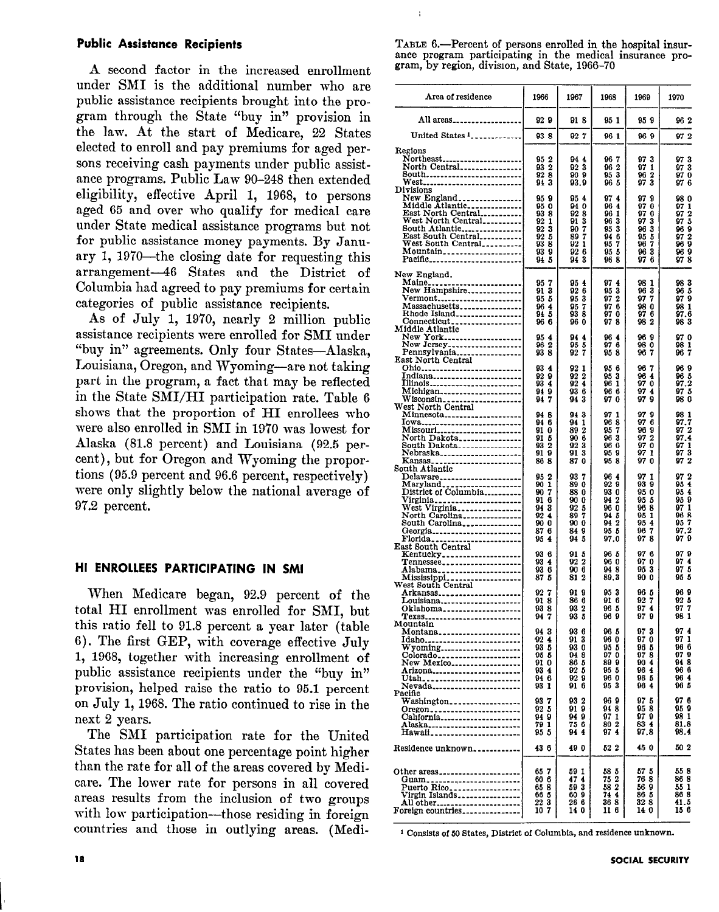#### Public Assistance Recipients

A second factor in the increased enrollment under SMI is the additional number who are public assistance recipients brought into the program through the State "buy in" provision in the law. At the start of Medicare, 22 States elected to enroll and pay premiums for aged persons receiving cash payments under public assistance programs. Public Law 90-248 then extended eligibility, effective April 1, 1968, to persons aged 65 and over who qualify for medical care under State medical assistance programs but not for public assistance money payments. By January 1, 1970-the closing date for requesting this arrangement-46 States and the District of Columbia had agreed to pay premiums for certain categories of public assistance recipients.

As of July 1, 1970, nearly 2 million public assistance recipients were enrolled for SMI under "buy in" agreements. Only four States-Alaska, Louisiana, Oregon, and Wyoming-are not taking part in the program, a fact that may be reflected in the State SMI/HI participation rate. Table 6 shows that the proportion of HI enrollees who were also enrolled in SMI in 1970 was lowest for Alaska (81.8 percent) and Louisiana (92.5 percent), but for Oregon and Wyoming the proportions (95.9 percent and 96.6 percent, respectively) were only slightly below the national average of 97.2 percent.

#### HI ENROLLEES PARTICIPATING IN SMI

When Medicare began, 92.9 percent of the total HI enrollment was enrolled for SMI, but this ratio fell to 91.8 percent a year later (table 6). The first GEP, with coverage effective July 1, 1968, together with increasing enrollment of public assistance recipients under the "buy in" provision, helped raise the ratio to 95.1 percent on July 1, 1968. The ratio continued to rise in the next 2 years.

The SMI participation rate for the United States has been about one percentage point higher than the rate for all of the areas covered by Medicare. The lower rate for persons in all covered areas results from the inclusion of two groups with low participation---those residing in foreign countries and those in outlying areas. (MediTABLE 6.-Percent of persons enrolled in the hospital insurance program participating in the medical insurance program, by region, division, and State, 1966-70

÷,

| Area of residence                                                                                                                                                                                                     | 1966                                                                                             | 1967                                                              | 1968                                                                              | 1969                                                                                         | 1970                                                                                                  |
|-----------------------------------------------------------------------------------------------------------------------------------------------------------------------------------------------------------------------|--------------------------------------------------------------------------------------------------|-------------------------------------------------------------------|-----------------------------------------------------------------------------------|----------------------------------------------------------------------------------------------|-------------------------------------------------------------------------------------------------------|
| All areas                                                                                                                                                                                                             | 929                                                                                              | 91 S                                                              | 95 1                                                                              | 95 S                                                                                         | 962                                                                                                   |
| United States 1                                                                                                                                                                                                       | 938                                                                                              | 927                                                               | 96 1                                                                              | 969                                                                                          | 972                                                                                                   |
| Regions<br>Northeast<br>North Central<br>80uth<br><b>West</b>                                                                                                                                                         | 95 2<br>93 2<br>928<br>94 3                                                                      | 94 4<br>923<br>909<br>93.9                                        | 967<br>2<br>96<br>953<br>965                                                      | 97<br>3<br>97<br>1<br>96<br>2<br>$\ddot{\mathbf{3}}$<br>97                                   | 97 3<br>973<br>970<br>976                                                                             |
| Divisions<br>New England<br>Middle Atlantic<br>East North Central<br>West North Central<br>Mountain<br>Pacific                                                                                                        | 959<br>950<br>938<br>92<br>1<br>92 3<br>925<br>938<br>939<br>94 5                                | 954<br>94 0<br>92 8<br>913<br>907<br>897<br>92 1<br>92 6<br>94 3  | 974<br>964<br>96 1<br>963<br>95 3<br>946<br>957<br>9.5 <sub>5</sub><br>968        | 97<br>9<br>97<br>0<br>97<br>0<br>97<br>3<br>3<br>96<br>95<br>5<br>7<br>96<br>963<br>976      | 98 O<br>97 1<br>972<br>97 5<br>969<br>97 2<br>969<br>969<br>978                                       |
| New England.<br>Maine <sub>r1</sub><br>New Hampshire<br><u> Vermont</u><br>Massachusetts<br>Rhode Island<br>Connecticut                                                                                               | 957<br>3<br>91.<br>95 5<br>964<br>94 5<br>966                                                    | 954<br>926<br>953<br>95<br>7<br>938<br>96 O                       | 974<br>95<br>3<br>972<br>97 6<br>970<br>978                                       | 98 1<br>96<br>3<br>97<br>7<br>98 O<br>97 G<br>982                                            | 983<br>96 5<br>979<br>981<br>97.6<br>983                                                              |
| Middle Atlantic<br>New York<br>New Jersey<br>Pennsylvania<br>East North Central                                                                                                                                       | 95 <sub>4</sub><br>962<br>938                                                                    | 944<br>95 5<br>92.7                                               | 964<br>976<br>958                                                                 | 96<br>-9<br>98 O<br>96<br>7                                                                  | 97 O<br>981<br>967                                                                                    |
| 0hi0<br>Indiana<br>Illinois<br>Michigan<br>Wisconsin<br>West North Central                                                                                                                                            | 934<br>929<br>93 4<br>949<br>94<br>7                                                             | 92<br>-1<br>92<br>2<br>924<br>936<br>943                          | 95 6<br>95<br>3<br>96 <sub>1</sub><br>966<br>97<br>0                              | 96<br>-7<br>964<br>970<br>974<br>97<br>9                                                     | 969<br>96 5<br>97.2<br>97 5<br>980                                                                    |
| Minnesota <sub>--------------------</sub><br>Iowa<br><b>Missouri______________________</b><br>North Dakota <sub>----------------</sub><br>South Dakota________________<br>Nebraska_____________________<br>Kansas<br> | 948<br>946<br>91<br>0<br>91 5<br>93<br>$\overline{\mathbf{2}}$<br>9<br>91<br>86<br>8             | 94 3<br>94<br>1<br>892<br>906<br>92<br>3<br>913<br>87<br>0        | 97<br>1<br>968<br>95<br>7<br>3<br>96<br>96<br>0<br>95<br>9<br>958                 | 97<br>9<br>97<br>6<br>969<br>97<br>$\overline{\mathbf{2}}$<br>0<br>97<br>97<br>1<br>97<br>-0 | 98 1<br>97.7<br>972<br>97.4<br>97 1<br>$97\bar{3}$<br>97<br>2                                         |
| South Atlantic<br>Virginia<br>West Virginia<br>North Carolina<br>South Carolina<br>Georgia                                                                                                                            | 2<br>95.<br>90<br>1<br>7<br>90<br>91<br>6<br>94<br>3<br>92<br>4<br>90<br>0<br>87<br>6<br>95<br>4 | 937<br>89 O<br>880<br>90 0<br>92 5<br>897<br>90 0<br>84 9<br>94 5 | 964<br>929<br>93 0<br>942<br>96 O<br>94 5<br>$\overline{2}$<br>94<br>95 5<br>97.0 | 97<br>1<br>93<br>9<br>950<br>95 5<br>968<br>95<br>1<br>95<br>4<br>7<br>96<br>97<br>8         | 972<br>$\overline{\mathbf{4}}$<br>95<br>95 4<br>959<br>1<br>97<br>96. S<br>95<br>7<br>97.2<br>97<br>9 |
| <b>East South Central</b><br><u>K</u> entucky <sub>*****</sub> ***************<br>Tennessee<br>Alabama<br>Mississippi                                                                                                 | 93 G<br>934<br>93<br>6<br>87<br>5                                                                | 91 5<br>$\overline{2}$<br>92<br>90 G<br>812                       | 96 S<br>96 O<br>948<br>89.3                                                       | 97<br>-6<br>97<br>0<br>3<br>95<br>90 O                                                       | 979<br>97<br>4<br>97<br>-5<br>95<br>5                                                                 |
| West South Central<br>Arkansas <sub>---------------------</sub><br>Louisiana<br>Oklahoma<br>Texas                                                                                                                     | 92<br>7<br>918<br>938<br>947                                                                     | 91 9<br>86 G<br>93 2<br>93 5                                      | 953<br>916<br>96 5<br>969                                                         | 96 5<br>7<br>92<br>974<br>979                                                                | 96 9<br>92 S<br>97<br>7<br>98<br>1                                                                    |
| Mountain<br>Montana<br>Idaho<br>Wyoming<br>Colorado<br>New Mexico<br>Arizona<br>Utah<br>Nevada                                                                                                                        | 94.3<br>92.4<br>935<br>95 5<br>91 O<br>934<br>94 6<br>93 1                                       | 93 6<br>913<br>93 0<br>94 S<br>865<br>925<br>929<br>916           | 965<br>960<br>95 5<br>97<br>0<br>89 9<br>95 5<br>96 O<br>953                      | 97<br>з<br>97<br>0<br>96 5<br>978<br>904<br>964<br>96 5<br>964                               | 97<br>4<br>97<br>1<br>96 G<br>97<br>9<br>948<br>96 B<br>96 4<br>965                                   |
| Pacific<br>Washington__________________<br>Oregon<br>California<br>Alaska<br>Hawaii                                                                                                                                   | 937<br>92 5<br>949<br>79 1<br>95 5                                                               | 932<br>919<br>949<br>75 6<br>944                                  | 969<br>948<br>97 1<br>80 2<br>97 4                                                | 97 B<br>95 8<br>979<br>834<br>97,8                                                           | 97 G<br>95 9<br>98 1<br>81.8<br>98.4                                                                  |
| Residence unknown                                                                                                                                                                                                     | 43 6                                                                                             | 49 O                                                              | 52 2                                                                              | 45 0                                                                                         | 50 2                                                                                                  |
| Other areas<br>Guam<br>--------------------<br>Puerto Rico<br>Virgin Islands                                                                                                                                          | 657<br>606<br>658<br>66 5<br>22 3<br>10 7                                                        | 59 1<br>474<br>593<br>609<br>266<br>14 0                          | 58 5<br>752<br>58 2<br>74 4<br>368<br>116                                         | 57 5<br>76 8<br>56 9<br>86 5<br>328<br>14 0                                                  | 55 8<br>86 8<br>55 1<br>86 8<br>41.5<br>156                                                           |

1 Consists of 5Q States, District of Columbia, and residence unknown.